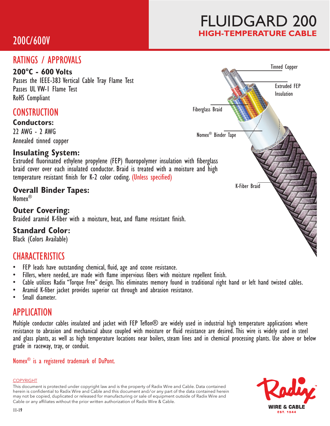# 200C/600V

# FLUIDGARD 200 **HIGH-TEMPERATURE CABLE**

## RATINGS / APPROVALS

### **200°C - 600 Volts**

Passes the IEEE-383 Vertical Cable Tray Flame Test Passes UL VW-1 Flame Test RoHS Compliant

## **CONSTRUCTION**

**Conductors:** 22 AWG - 2 AWG Annealed tinned copper

## **Insulating System:**

Extruded fluorinated ethylene propylene (FEP) fluoropolymer insulation with fiberglass braid cover over each insulated conductor. Braid is treated with a moisture and high temperature resistant finish for K-2 color coding. (Unless specified)

## **Overall Binder Tapes:**

Nomex®

## **Outer Covering:**

Braided aramid K-fiber with a moisture, heat, and flame resistant finish.

## **Standard Color:**

Black (Colors Available)

## **CHARACTERISTICS**

- FEP leads have outstanding chemical, fluid, age and ozone resistance.
- Fillers, where needed, are made with flame impervious fibers with moisture repellent finish.
- Cable utilizes Radix "Torque Free" design. This eliminates memory found in traditional right hand or left hand twisted cables.
- Aramid K-fiber jacket provides superior cut through and abrasion resistance.
- Small diameter.

## APPLICATION

Multiple conductor cables insulated and jacket with FEP Teflon® are widely used in industrial high temperature applications where resistance to abrasion and mechanical abuse coupled with moisture or fluid resistance are desired. This wire is widely used in steel and glass plants, as well as high temperature locations near boilers, steam lines and in chemical processing plants. Use above or below grade in raceway, tray, or conduit.

#### Nomex® is a registered trademark of DuPont.

#### COPYRIGHT

This document is protected under copyright law and is the property of Radix Wire and Cable. Data contained herein is confidential to Radix Wire and Cable and this document and / or any part of the data contained herein may not be copied, duplicated or released for manufacturing or sale of equipment outside of Radix Wire and Cable or any affiliates without the prior written authorization of Radix Wire & Cable.